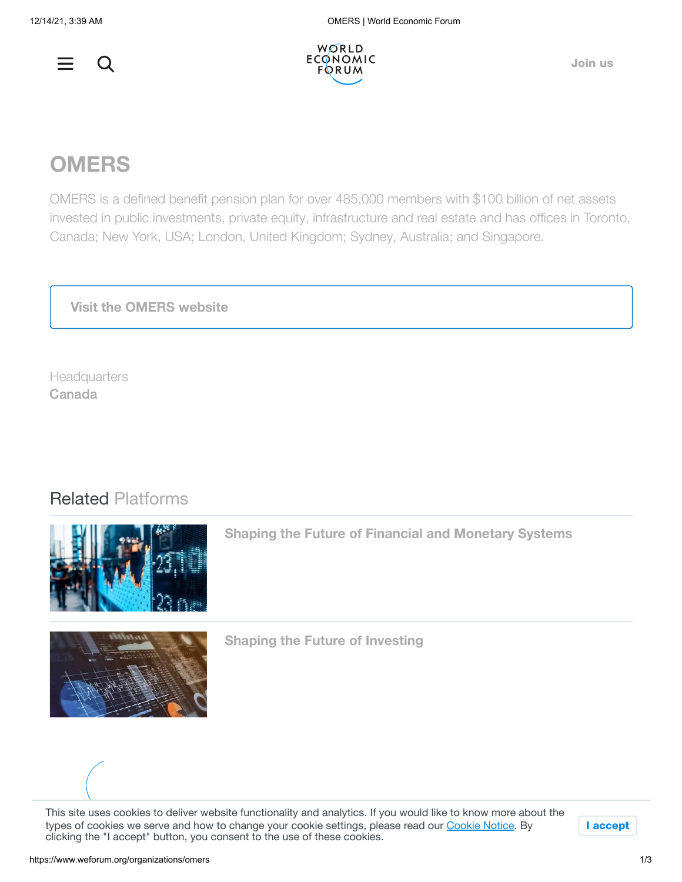



[Join](https://www.weforum.org/join-us) us

## **OMERS**

OMERS is a defined benefit pension plan for over 485,000 members with \$100 billion of net assets invested in public investments, private equity, infrastructure and real estate and has offices in Toronto, Canada; New York, USA; London, United Kingdom; Sydney, Australia; and Singapore.

**Visit the OMERS [website](http://www.omers.com/)**

**Headquarters** Canada

## Related Platforms



**Shaping the Future of Financial and [Monetary](https://www.weforum.org/platforms/shaping-the-future-of-financial-and-monetary-systems) Systems**



**Shaping the Future of [Investing](https://www.weforum.org/platforms/shaping-the-future-of-investing)**

This site uses cookies to deliver website functionality and analytics. If you would like to know more about the types of cookies we serve and how to change your cookie settings, please read our [Cookie](https://www.weforum.org/about/privacy-and-terms-of-use) Notice. By clicking the "I accept" button, you consent to the use of these cookies.

I accept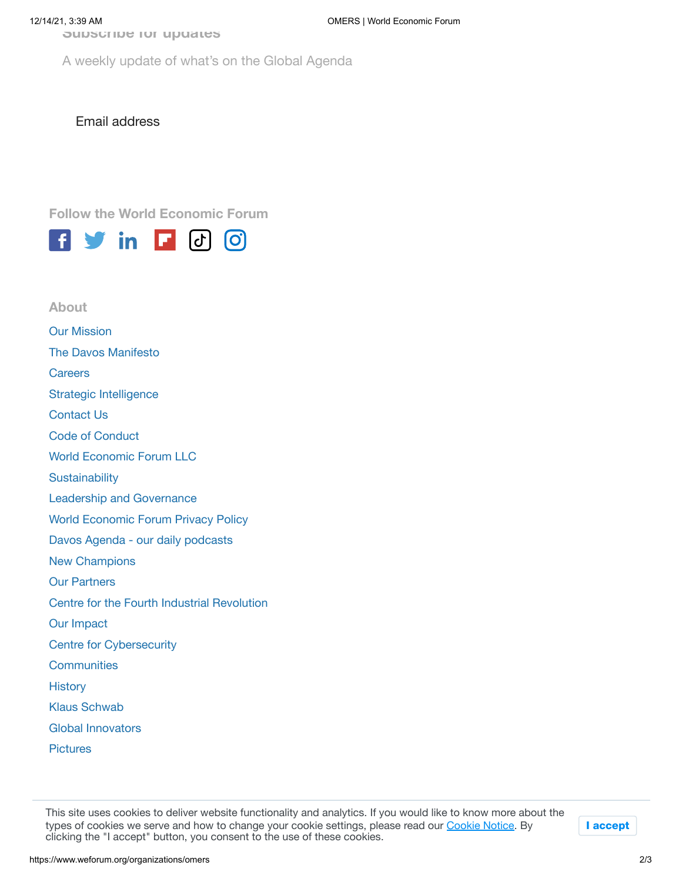**Subscribe for updates**

A weekly update of what's on the Global Agenda

Email address

**Follow the World Economic Forum**



Our [Mission](https://www.weforum.org/about/world-economic-forum) The [Davos Manifesto](https://www.weforum.org/the-davos-manifesto) **[Careers](https://www.weforum.org/forum-careers)** Strategic [Intelligence](https://www.weforum.org/strategic-intelligence/) [Contact](https://www.weforum.org/contact-us) Us Code of [Conduct](https://www.weforum.org/about/code-of-conduct) World [Economic](https://www.weforum.org/about/world-economic-forum-llc) Forum LLC **[Sustainability](https://www.weforum.org/sustainability-world-economic-forum)** Leadership and [Governance](https://www.weforum.org/about/leadership-and-governance) World Economic Forum [Privacy Policy](https://www.weforum.org/about/privacy-and-terms-of-use) [Davos Agenda](https://www.weforum.org/about/davos-agenda-daily-forum-podcast) - our daily podcasts New [Champions](https://www.weforum.org/about/new-champions) Our [Partners](https://www.weforum.org/partners) Centre for the Fourth Industrial [Revolution](https://www.weforum.org/about/world-economic-forum-center-for-the-fourth-industrial-revolution) Our [Impact](https://www.weforum.org/our-impact) Centre for [Cybersecurity](https://www.weforum.org/centre-for-cybersecurity/) **[Communities](https://www.weforum.org/communities) [History](https://www.weforum.org/about/history)** [Klaus Schwab](https://www.weforum.org/about/klaus-schwab) Global [Innovators](https://www.weforum.org/about/global-innovators) **[Pictures](https://www.flickr.com/photos/worldeconomicforum/) About**

clicking the "I accept" button, you consent to the use of these cookies. This site uses cookies to deliver website functionality and analytics. If you would like to know more about the types of cookies we serve and how to change your cookie settings, please read our [Cookie](https://www.weforum.org/about/privacy-and-terms-of-use) Notice. By

I accept